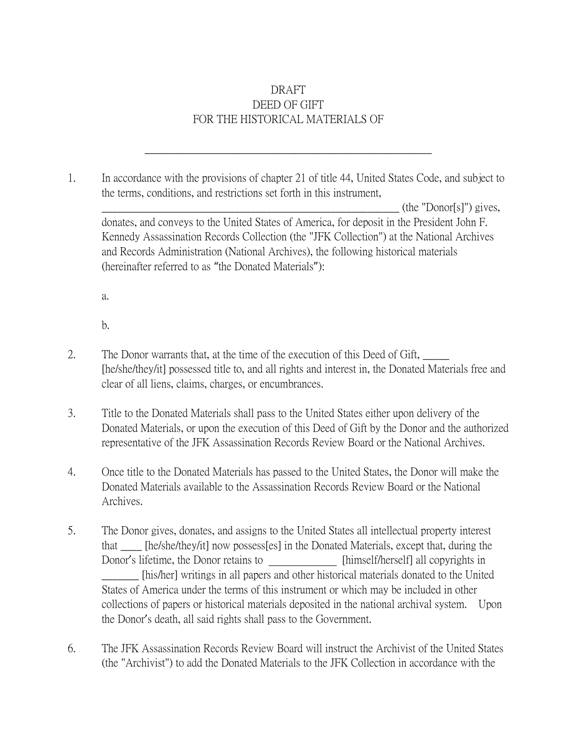## DRAFT DEED OF GIFT FOR THE HISTORICAL MATERIALS OF

1. In accordance with the provisions of chapter 21 of title 44, United States Code, and subject to the terms, conditions, and restrictions set forth in this instrument,

\_\_\_\_\_\_\_\_\_\_\_\_\_\_\_\_\_\_\_\_\_\_\_\_\_\_\_\_\_\_\_\_\_\_\_\_\_\_\_\_\_\_\_\_\_\_\_\_\_\_\_\_\_\_

 $(\text{the "Donor[s]") gives,$ donates, and conveys to the United States of America, for deposit in the President John F. Kennedy Assassination Records Collection (the "JFK Collection") at the National Archives and Records Administration (National Archives), the following historical materials (hereinafter referred to as "the Donated Materials"):

a.

b.

- 2. The Donor warrants that, at the time of the execution of this Deed of Gift, [he/she/they/it] possessed title to, and all rights and interest in, the Donated Materials free and clear of all liens, claims, charges, or encumbrances.
- 3. Title to the Donated Materials shall pass to the United States either upon delivery of the Donated Materials, or upon the execution of this Deed of Gift by the Donor and the authorized representative of the JFK Assassination Records Review Board or the National Archives.
- 4. Once title to the Donated Materials has passed to the United States, the Donor will make the Donated Materials available to the Assassination Records Review Board or the National Archives.
- 5. The Donor gives, donates, and assigns to the United States all intellectual property interest that \_\_\_\_ [he/she/they/it] now possess[es] in the Donated Materials, except that, during the Donor's lifetime, the Donor retains to [himself/herself] all copyrights in \_\_\_\_\_\_\_ [his/her] writings in all papers and other historical materials donated to the United States of America under the terms of this instrument or which may be included in other collections of papers or historical materials deposited in the national archival system. Upon the Donor's death, all said rights shall pass to the Government.
- 6. The JFK Assassination Records Review Board will instruct the Archivist of the United States (the "Archivist") to add the Donated Materials to the JFK Collection in accordance with the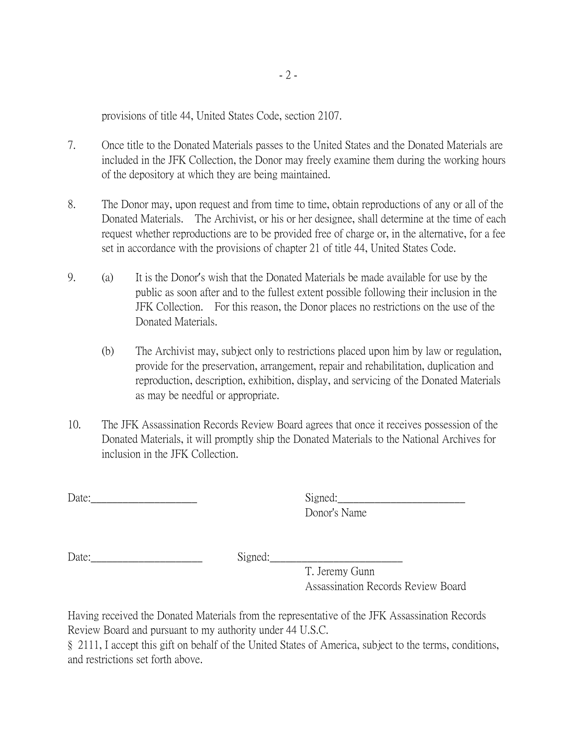provisions of title 44, United States Code, section 2107.

- 7. Once title to the Donated Materials passes to the United States and the Donated Materials are included in the JFK Collection, the Donor may freely examine them during the working hours of the depository at which they are being maintained.
- 8. The Donor may, upon request and from time to time, obtain reproductions of any or all of the Donated Materials. The Archivist, or his or her designee, shall determine at the time of each request whether reproductions are to be provided free of charge or, in the alternative, for a fee set in accordance with the provisions of chapter 21 of title 44, United States Code.
- 9. (a) It is the Donor's wish that the Donated Materials be made available for use by the public as soon after and to the fullest extent possible following their inclusion in the JFK Collection. For this reason, the Donor places no restrictions on the use of the Donated Materials.
	- (b) The Archivist may, subject only to restrictions placed upon him by law or regulation, provide for the preservation, arrangement, repair and rehabilitation, duplication and reproduction, description, exhibition, display, and servicing of the Donated Materials as may be needful or appropriate.
- 10. The JFK Assassination Records Review Board agrees that once it receives possession of the Donated Materials, it will promptly ship the Donated Materials to the National Archives for inclusion in the JFK Collection.

Date:\_\_\_\_\_\_\_\_\_\_\_\_\_\_\_\_\_\_\_\_ Signed:\_\_\_\_\_\_\_\_\_\_\_\_\_\_\_\_\_\_\_\_\_\_\_\_

Donor's Name

Date: Signed:

T. Jeremy Gunn Assassination Records Review Board

Having received the Donated Materials from the representative of the JFK Assassination Records Review Board and pursuant to my authority under 44 U.S.C.

§ 2111, I accept this gift on behalf of the United States of America, subject to the terms, conditions, and restrictions set forth above.